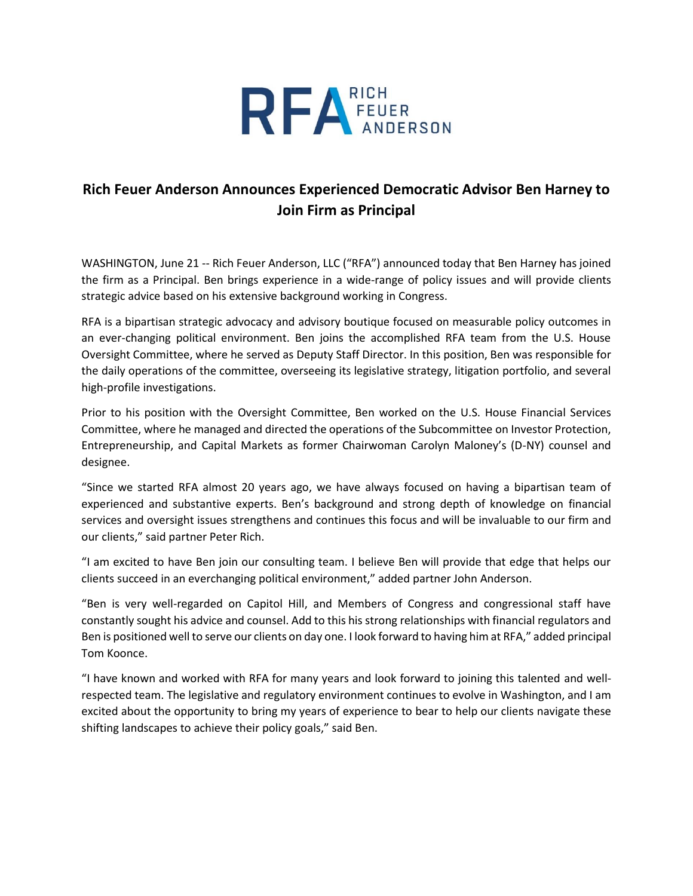

## **Rich Feuer Anderson Announces Experienced Democratic Advisor Ben Harney to Join Firm as Principal**

WASHINGTON, June 21 -- Rich Feuer Anderson, LLC ("RFA") announced today that Ben Harney has joined the firm as a Principal. Ben brings experience in a wide-range of policy issues and will provide clients strategic advice based on his extensive background working in Congress.

RFA is a bipartisan strategic advocacy and advisory boutique focused on measurable policy outcomes in an ever-changing political environment. Ben joins the accomplished RFA team from the U.S. House Oversight Committee, where he served as Deputy Staff Director. In this position, Ben was responsible for the daily operations of the committee, overseeing its legislative strategy, litigation portfolio, and several high-profile investigations.

Prior to his position with the Oversight Committee, Ben worked on the U.S. House Financial Services Committee, where he managed and directed the operations of the Subcommittee on Investor Protection, Entrepreneurship, and Capital Markets as former Chairwoman Carolyn Maloney's (D-NY) counsel and designee.

"Since we started RFA almost 20 years ago, we have always focused on having a bipartisan team of experienced and substantive experts. Ben's background and strong depth of knowledge on financial services and oversight issues strengthens and continues this focus and will be invaluable to our firm and our clients," said partner Peter Rich.

"I am excited to have Ben join our consulting team. I believe Ben will provide that edge that helps our clients succeed in an everchanging political environment," added partner John Anderson.

"Ben is very well-regarded on Capitol Hill, and Members of Congress and congressional staff have constantly sought his advice and counsel. Add to this his strong relationships with financial regulators and Ben is positioned well to serve our clients on day one. I look forward to having him at RFA," added principal Tom Koonce.

"I have known and worked with RFA for many years and look forward to joining this talented and wellrespected team. The legislative and regulatory environment continues to evolve in Washington, and I am excited about the opportunity to bring my years of experience to bear to help our clients navigate these shifting landscapes to achieve their policy goals," said Ben.